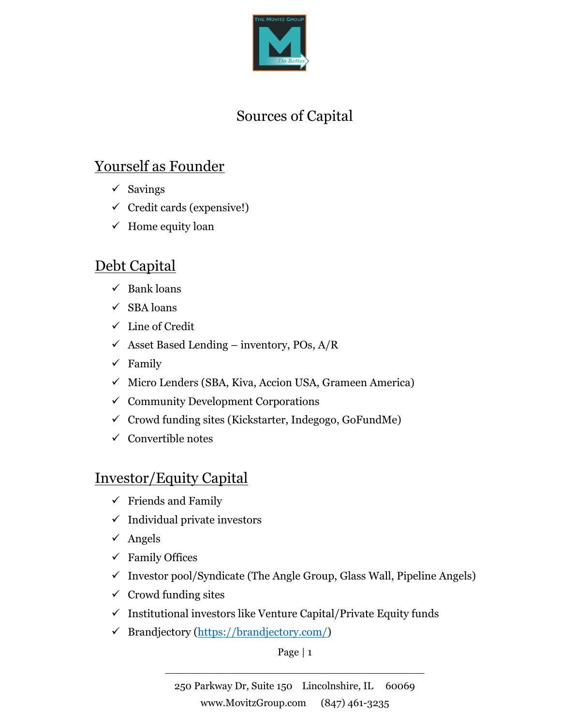

# Sources of Capital

## Yourself as Founder

- ✓ Savings
- $\checkmark$  Credit cards (expensive!)
- $\checkmark$  Home equity loan

### Debt Capital

- $\checkmark$  Bank loans
- ✓ SBA loans
- ✓ Line of Credit
- $\checkmark$  Asset Based Lending inventory, POs, A/R
- $\checkmark$  Family
- ✓ Micro Lenders (SBA, Kiva, Accion USA, Grameen America)
- $\checkmark$  Community Development Corporations
- $\checkmark$  Crowd funding sites (Kickstarter, Indegogo, GoFundMe)
- $\checkmark$  Convertible notes

### Investor/Equity Capital

- $\checkmark$  Friends and Family
- $\checkmark$  Individual private investors
- $\checkmark$  Angels
- $\checkmark$  Family Offices
- $\checkmark$  Investor pool/Syndicate (The Angle Group, Glass Wall, Pipeline Angels)
- $\checkmark$  Crowd funding sites
- $\checkmark$  Institutional investors like Venture Capital/Private Equity funds
- ✓ Brandjectory (https://brandjectory.com/)

Page | 1 \_\_\_\_\_\_\_\_\_\_\_\_\_\_\_\_\_\_\_\_\_\_\_\_\_\_\_\_\_\_\_\_\_\_\_\_\_\_\_\_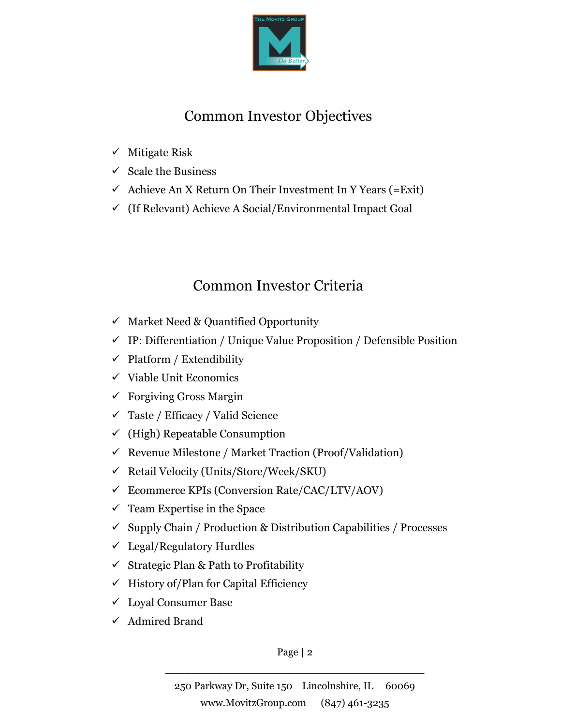

# Common Investor Objectives

- ✓ Mitigate Risk
- $\checkmark$  Scale the Business
- $\checkmark$  Achieve An X Return On Their Investment In Y Years (= Exit)
- ✓ (If Relevant) Achieve A Social/Environmental Impact Goal

# Common Investor Criteria

- $\checkmark$  Market Need & Quantified Opportunity
- $\checkmark$  IP: Differentiation / Unique Value Proposition / Defensible Position
- $\checkmark$  Platform / Extendibility
- $\checkmark$  Viable Unit Economics
- $\checkmark$  Forgiving Gross Margin
- ✓ Taste / Efficacy / Valid Science
- $\checkmark$  (High) Repeatable Consumption
- $\checkmark$  Revenue Milestone / Market Traction (Proof/Validation)
- ✓ Retail Velocity (Units/Store/Week/SKU)
- ✓ Ecommerce KPIs (Conversion Rate/CAC/LTV/AOV)
- $\checkmark$  Team Expertise in the Space
- $\checkmark$  Supply Chain / Production & Distribution Capabilities / Processes
- $\checkmark$  Legal/Regulatory Hurdles
- ✓ Strategic Plan & Path to Profitability
- $\checkmark$  History of/Plan for Capital Efficiency
- ✓ Loyal Consumer Base
- ✓ Admired Brand

Page | 2 \_\_\_\_\_\_\_\_\_\_\_\_\_\_\_\_\_\_\_\_\_\_\_\_\_\_\_\_\_\_\_\_\_\_\_\_\_\_\_\_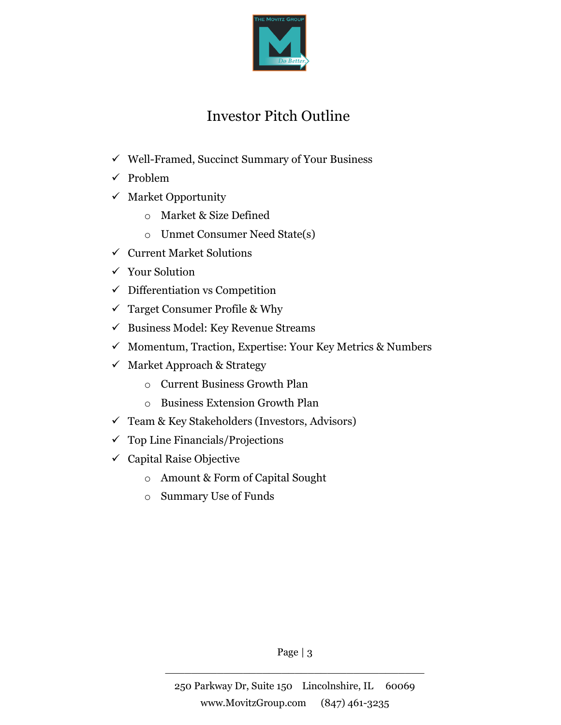

## Investor Pitch Outline

- ✓ Well-Framed, Succinct Summary of Your Business
- ✓ Problem
- $\checkmark$  Market Opportunity
	- o Market & Size Defined
	- o Unmet Consumer Need State(s)
- $\checkmark$  Current Market Solutions
- ✓ Your Solution
- $\checkmark$  Differentiation vs Competition
- $\checkmark$  Target Consumer Profile & Why
- $\checkmark$  Business Model: Key Revenue Streams
- ✓ Momentum, Traction, Expertise: Your Key Metrics & Numbers
- ✓ Market Approach & Strategy
	- o Current Business Growth Plan
	- o Business Extension Growth Plan
- ✓ Team & Key Stakeholders (Investors, Advisors)
- $\checkmark$  Top Line Financials/Projections
- $\checkmark$  Capital Raise Objective
	- o Amount & Form of Capital Sought
	- o Summary Use of Funds

Page | 3 \_\_\_\_\_\_\_\_\_\_\_\_\_\_\_\_\_\_\_\_\_\_\_\_\_\_\_\_\_\_\_\_\_\_\_\_\_\_\_\_